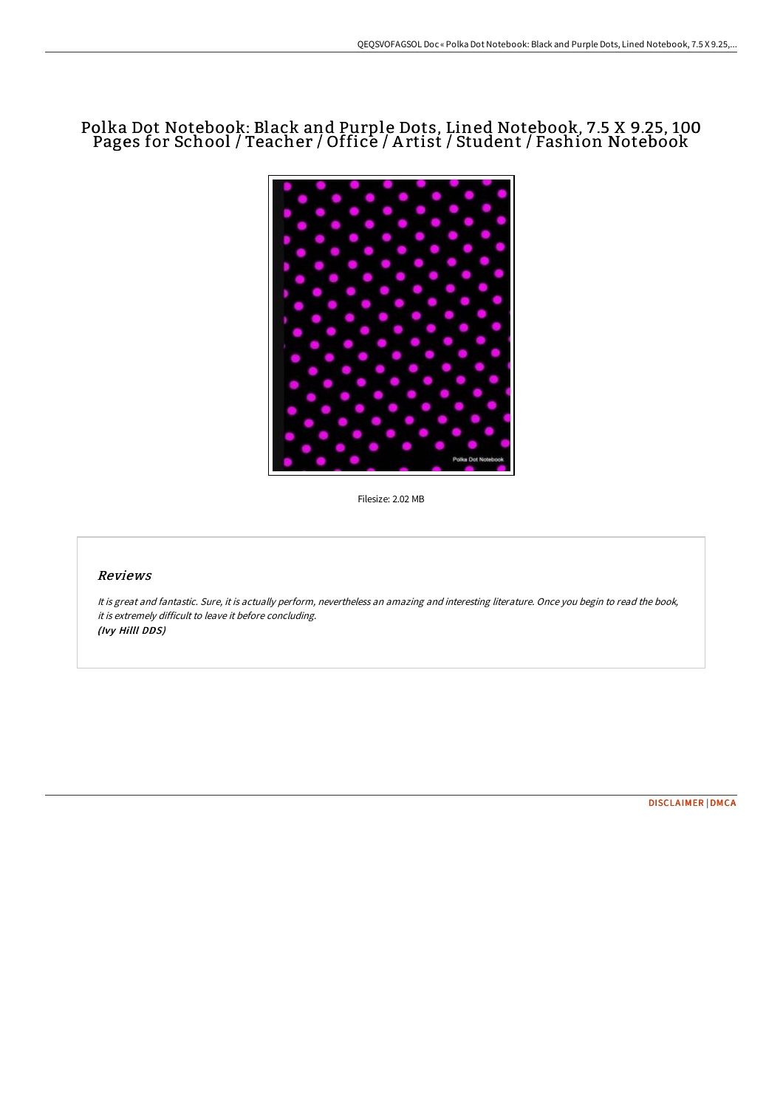# Polka Dot Notebook: Black and Purple Dots, Lined Notebook, 7.5 X 9.25, 100 Pages for School / Teacher / Office / A rtist / Student / Fashion Notebook



Filesize: 2.02 MB

### Reviews

It is great and fantastic. Sure, it is actually perform, nevertheless an amazing and interesting literature. Once you begin to read the book, it is extremely difficult to leave it before concluding. (Ivy Hilll DDS)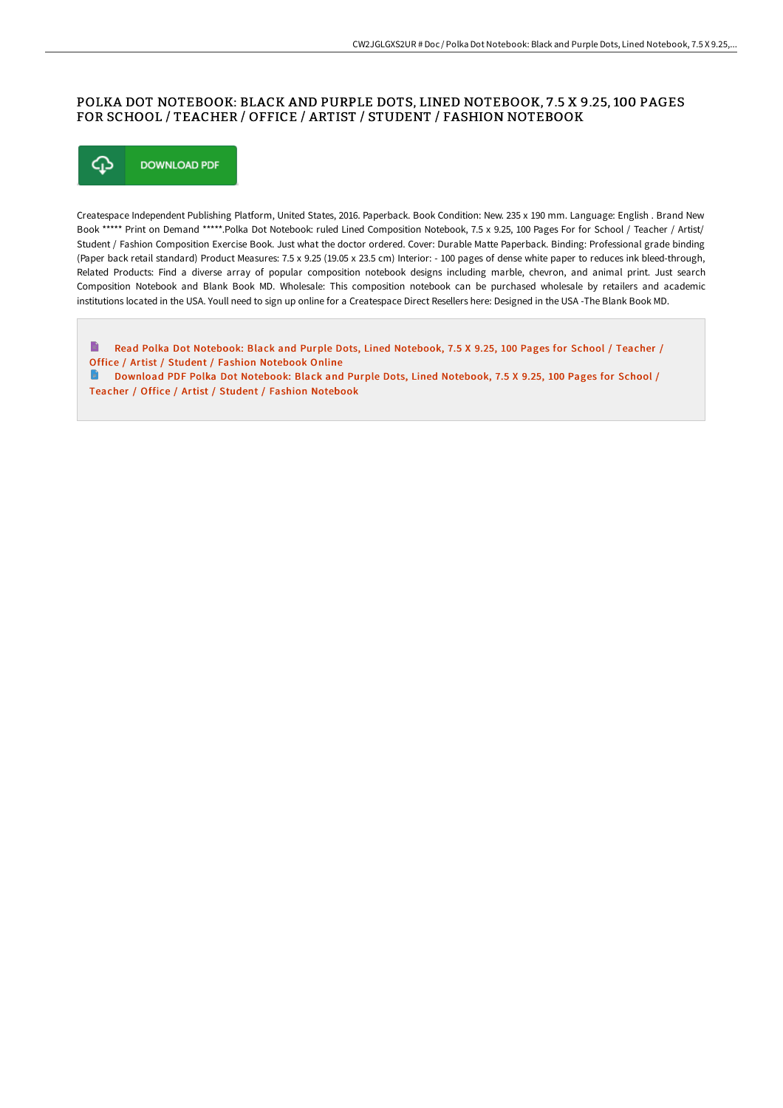## POLKA DOT NOTEBOOK: BLACK AND PURPLE DOTS, LINED NOTEBOOK, 7 .5 X 9.25, 100 PAGES FOR SCHOOL / TEACHER / OFFICE / ARTIST / STUDENT / FASHION NOTEBOOK



Createspace Independent Publishing Platform, United States, 2016. Paperback. Book Condition: New. 235 x 190 mm. Language: English . Brand New Book \*\*\*\*\* Print on Demand \*\*\*\*\*.Polka Dot Notebook: ruled Lined Composition Notebook, 7.5 x 9.25, 100 Pages For for School / Teacher / Artist/ Student / Fashion Composition Exercise Book. Just what the doctor ordered. Cover: Durable Matte Paperback. Binding: Professional grade binding (Paper back retail standard) Product Measures: 7.5 x 9.25 (19.05 x 23.5 cm) Interior: - 100 pages of dense white paper to reduces ink bleed-through, Related Products: Find a diverse array of popular composition notebook designs including marble, chevron, and animal print. Just search Composition Notebook and Blank Book MD. Wholesale: This composition notebook can be purchased wholesale by retailers and academic institutions located in the USA. Youll need to sign up online for a Createspace Direct Resellers here: Designed in the USA -The Blank Book MD.

B Read Polka Dot [Notebook:](http://www.bookdirs.com/polka-dot-notebook-black-and-purple-dots-lined-n.html) Black and Purple Dots, Lined Notebook, 7.5 X 9.25, 100 Pages for School / Teacher / Office / Artist / Student / Fashion Notebook Online

Download PDF Polka Dot [Notebook:](http://www.bookdirs.com/polka-dot-notebook-black-and-purple-dots-lined-n.html) Black and Purple Dots, Lined Notebook, 7.5 X 9.25, 100 Pages for School / Ta 1 Teacher / Office / Artist / Student / Fashion Notebook